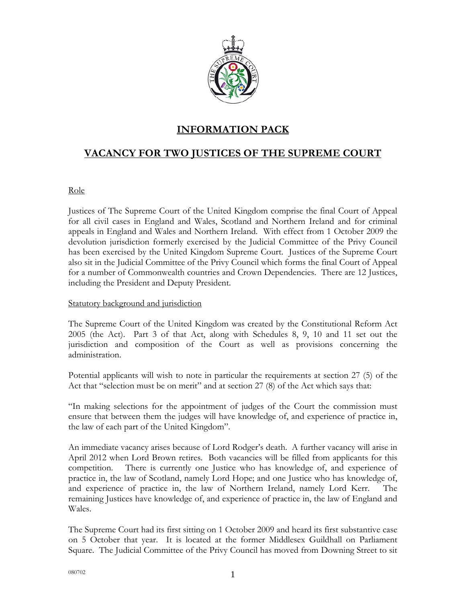

# **INFORMATION PACK**

# **VACANCY FOR TWO JUSTICES OF THE SUPREME COURT**

## Role

Justices of The Supreme Court of the United Kingdom comprise the final Court of Appeal for all civil cases in England and Wales, Scotland and Northern Ireland and for criminal appeals in England and Wales and Northern Ireland. With effect from 1 October 2009 the devolution jurisdiction formerly exercised by the Judicial Committee of the Privy Council has been exercised by the United Kingdom Supreme Court. Justices of the Supreme Court also sit in the Judicial Committee of the Privy Council which forms the final Court of Appeal for a number of Commonwealth countries and Crown Dependencies. There are 12 Justices, including the President and Deputy President.

## Statutory background and jurisdiction

The Supreme Court of the United Kingdom was created by the Constitutional Reform Act 2005 (the Act). Part 3 of that Act, along with Schedules 8, 9, 10 and 11 set out the jurisdiction and composition of the Court as well as provisions concerning the administration.

Potential applicants will wish to note in particular the requirements at section 27 (5) of the Act that "selection must be on merit" and at section 27 (8) of the Act which says that:

"In making selections for the appointment of judges of the Court the commission must ensure that between them the judges will have knowledge of, and experience of practice in, the law of each part of the United Kingdom".

An immediate vacancy arises because of Lord Rodger's death. A further vacancy will arise in April 2012 when Lord Brown retires. Both vacancies will be filled from applicants for this competition. There is currently one Justice who has knowledge of, and experience of practice in, the law of Scotland, namely Lord Hope; and one Justice who has knowledge of, and experience of practice in, the law of Northern Ireland, namely Lord Kerr. The remaining Justices have knowledge of, and experience of practice in, the law of England and Wales.

The Supreme Court had its first sitting on 1 October 2009 and heard its first substantive case on 5 October that year. It is located at the former Middlesex Guildhall on Parliament Square. The Judicial Committee of the Privy Council has moved from Downing Street to sit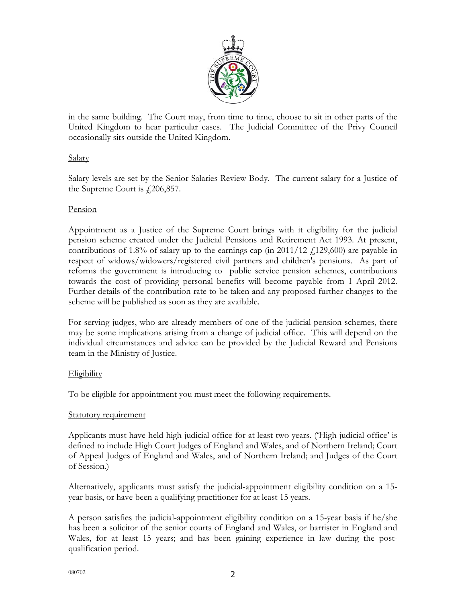

in the same building. The Court may, from time to time, choose to sit in other parts of the United Kingdom to hear particular cases. The Judicial Committee of the Privy Council occasionally sits outside the United Kingdom.

## Salary

Salary levels are set by the Senior Salaries Review Body. The current salary for a Justice of the Supreme Court is  $\text{\textsterling}206,\!857$ .

## Pension

Appointment as a Justice of the Supreme Court brings with it eligibility for the judicial pension scheme created under the Judicial Pensions and Retirement Act 1993. At present, contributions of 1.8% of salary up to the earnings cap (in  $2011/12$   $\neq$  129,600) are payable in respect of widows/widowers/registered civil partners and children's pensions. As part of reforms the government is introducing to public service pension schemes, contributions towards the cost of providing personal benefits will become payable from 1 April 2012. Further details of the contribution rate to be taken and any proposed further changes to the scheme will be published as soon as they are available.

For serving judges, who are already members of one of the judicial pension schemes, there may be some implications arising from a change of judicial office. This will depend on the individual circumstances and advice can be provided by the Judicial Reward and Pensions team in the Ministry of Justice.

## Eligibility

To be eligible for appointment you must meet the following requirements.

## Statutory requirement

Applicants must have held high judicial office for at least two years. ('High judicial office' is defined to include High Court Judges of England and Wales, and of Northern Ireland; Court of Appeal Judges of England and Wales, and of Northern Ireland; and Judges of the Court of Session.)

Alternatively, applicants must satisfy the judicial-appointment eligibility condition on a 15 year basis, or have been a qualifying practitioner for at least 15 years.

A person satisfies the judicial-appointment eligibility condition on a 15-year basis if he/she has been a solicitor of the senior courts of England and Wales, or barrister in England and Wales, for at least 15 years; and has been gaining experience in law during the postqualification period.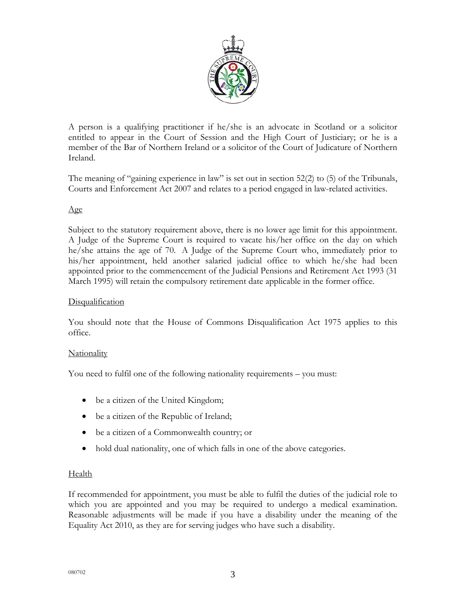

A person is a qualifying practitioner if he/she is an advocate in Scotland or a solicitor entitled to appear in the Court of Session and the High Court of Justiciary; or he is a member of the Bar of Northern Ireland or a solicitor of the Court of Judicature of Northern Ireland.

The meaning of "gaining experience in law" is set out in section 52(2) to (5) of the Tribunals, Courts and Enforcement Act 2007 and relates to a period engaged in law-related activities.

## Age

Subject to the statutory requirement above, there is no lower age limit for this appointment. A Judge of the Supreme Court is required to vacate his/her office on the day on which he/she attains the age of 70. A Judge of the Supreme Court who, immediately prior to his/her appointment, held another salaried judicial office to which he/she had been appointed prior to the commencement of the Judicial Pensions and Retirement Act 1993 (31 March 1995) will retain the compulsory retirement date applicable in the former office.

## **Disqualification**

You should note that the House of Commons Disqualification Act 1975 applies to this office.

## **Nationality**

You need to fulfil one of the following nationality requirements – you must:

- be a citizen of the United Kingdom;
- be a citizen of the Republic of Ireland;
- be a citizen of a Commonwealth country; or
- hold dual nationality, one of which falls in one of the above categories.

## **Health**

If recommended for appointment, you must be able to fulfil the duties of the judicial role to which you are appointed and you may be required to undergo a medical examination. Reasonable adjustments will be made if you have a disability under the meaning of the Equality Act 2010, as they are for serving judges who have such a disability.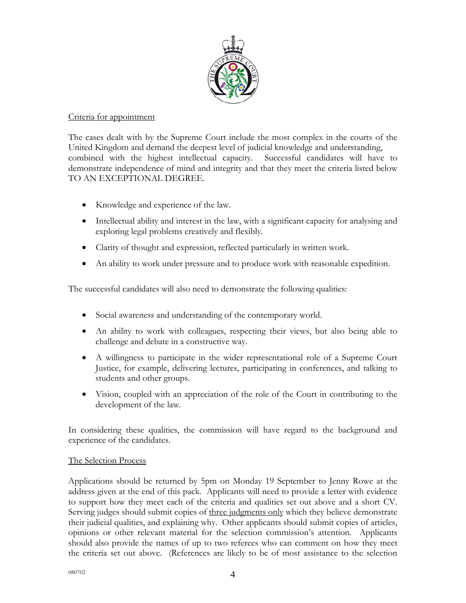

#### Criteria for appointment

The cases dealt with by the Supreme Court include the most complex in the courts of the United Kingdom and demand the deepest level of judicial knowledge and understanding, combined with the highest intellectual capacity. Successful candidates will have to demonstrate independence of mind and integrity and that they meet the criteria listed below TO AN EXCEPTIONAL DEGREE.

- Knowledge and experience of the law.
- Intellectual ability and interest in the law, with a significant capacity for analysing and exploring legal problems creatively and flexibly.
- Clarity of thought and expression, reflected particularly in written work.
- An ability to work under pressure and to produce work with reasonable expedition.

The successful candidates will also need to demonstrate the following qualities:

- Social awareness and understanding of the contemporary world.
- An ability to work with colleagues, respecting their views, but also being able to challenge and debate in a constructive way.
- A willingness to participate in the wider representational role of a Supreme Court Justice, for example, delivering lectures, participating in conferences, and talking to students and other groups.
- Vision, coupled with an appreciation of the role of the Court in contributing to the development of the law.

In considering these qualities, the commission will have regard to the background and experience of the candidates.

## The Selection Process

Applications should be returned by 5pm on Monday 19 September to Jenny Rowe at the address given at the end of this pack. Applicants will need to provide a letter with evidence to support how they meet each of the criteria and qualities set out above and a short CV. Serving judges should submit copies of <u>three judgments only</u> which they believe demonstrate their judicial qualities, and explaining why. Other applicants should submit copies of articles, opinions or other relevant material for the selection commission's attention. Applicants should also provide the names of up to two referees who can comment on how they meet the criteria set out above. (References are likely to be of most assistance to the selection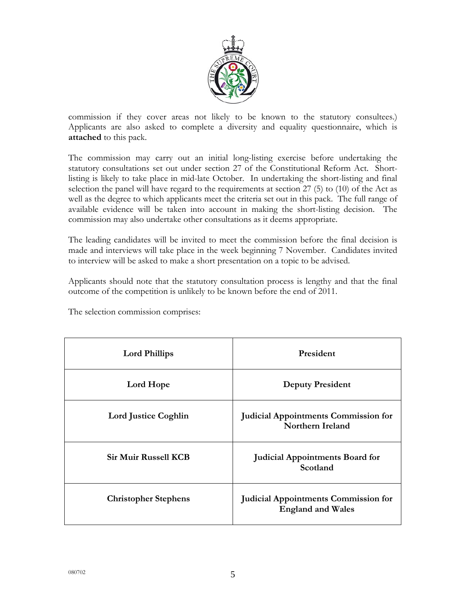

commission if they cover areas not likely to be known to the statutory consultees.) Applicants are also asked to complete a diversity and equality questionnaire, which is **attached** to this pack.

The commission may carry out an initial long-listing exercise before undertaking the statutory consultations set out under section 27 of the Constitutional Reform Act. Shortlisting is likely to take place in mid-late October. In undertaking the short-listing and final selection the panel will have regard to the requirements at section 27 (5) to (10) of the Act as well as the degree to which applicants meet the criteria set out in this pack. The full range of available evidence will be taken into account in making the short-listing decision. The commission may also undertake other consultations as it deems appropriate.

The leading candidates will be invited to meet the commission before the final decision is made and interviews will take place in the week beginning 7 November. Candidates invited to interview will be asked to make a short presentation on a topic to be advised.

Applicants should note that the statutory consultation process is lengthy and that the final outcome of the competition is unlikely to be known before the end of 2011.

| <b>Lord Phillips</b>        | President                                                               |
|-----------------------------|-------------------------------------------------------------------------|
| Lord Hope                   | <b>Deputy President</b>                                                 |
| <b>Lord Justice Coghlin</b> | <b>Judicial Appointments Commission for</b><br><b>Northern Ireland</b>  |
| <b>Sir Muir Russell KCB</b> | <b>Judicial Appointments Board for</b><br>Scotland                      |
| <b>Christopher Stephens</b> | <b>Judicial Appointments Commission for</b><br><b>England and Wales</b> |

The selection commission comprises: